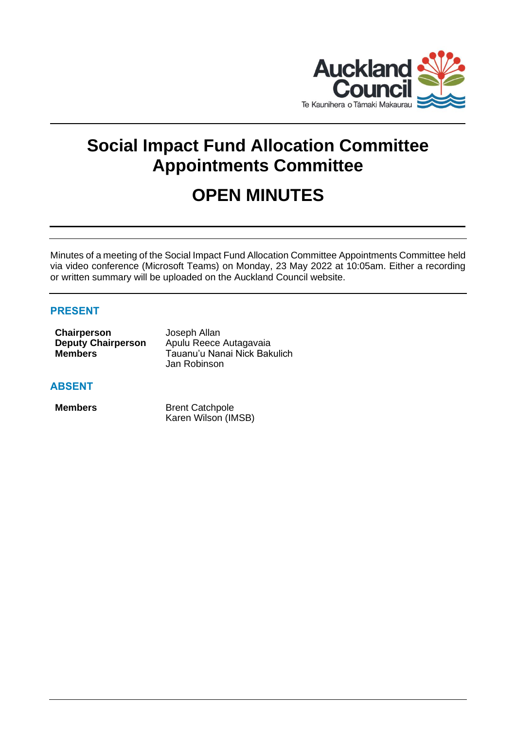

# **Social Impact Fund Allocation Committee Appointments Committee**

# **OPEN MINUTES**

Minutes of a meeting of the Social Impact Fund Allocation Committee Appointments Committee held via video conference (Microsoft Teams) on Monday, 23 May 2022 at 10:05am. Either a recording or written summary will be uploaded on the Auckland Council website.

# **PRESENT**

| Chairperson               | Joseph Allan                 |
|---------------------------|------------------------------|
| <b>Deputy Chairperson</b> | Apulu Reece Autagavaia       |
| <b>Members</b>            | Tauanu'u Nanai Nick Bakulich |
|                           | Jan Robinson                 |

### **ABSENT**

**Members** Brent Catchpole Karen Wilson (IMSB)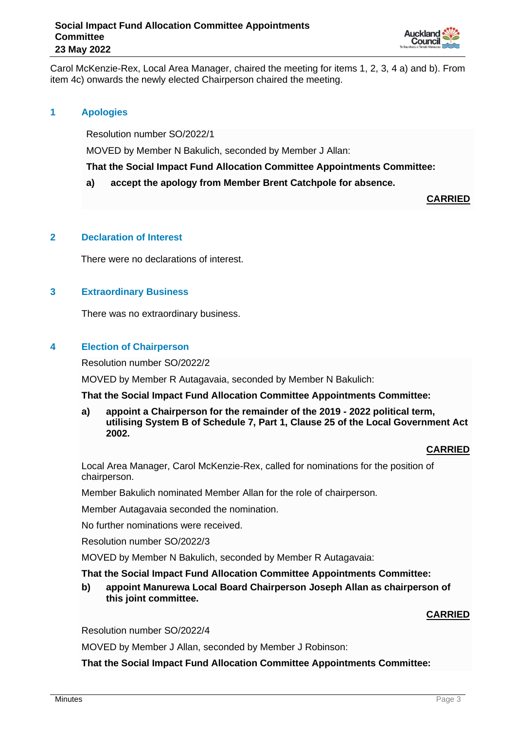

Carol McKenzie-Rex, Local Area Manager, chaired the meeting for items 1, 2, 3, 4 a) and b). From item 4c) onwards the newly elected Chairperson chaired the meeting.

### **1 Apologies**

Resolution number SO/2022/1

MOVED by Member N Bakulich, seconded by Member J Allan:

**That the Social Impact Fund Allocation Committee Appointments Committee:**

#### **a) accept the apology from Member Brent Catchpole for absence.**

**CARRIED**

#### **2 Declaration of Interest**

There were no declarations of interest.

### **3 Extraordinary Business**

There was no extraordinary business.

#### **4 Election of Chairperson**

Resolution number SO/2022/2

MOVED by Member R Autagavaia, seconded by Member N Bakulich:

**That the Social Impact Fund Allocation Committee Appointments Committee:**

**a) appoint a Chairperson for the remainder of the 2019 - 2022 political term, utilising System B of Schedule 7, Part 1, Clause 25 of the Local Government Act 2002.**

### **CARRIED**

Local Area Manager, Carol McKenzie-Rex, called for nominations for the position of chairperson.

Member Bakulich nominated Member Allan for the role of chairperson.

Member Autagavaia seconded the nomination.

No further nominations were received.

Resolution number SO/2022/3

MOVED by Member N Bakulich, seconded by Member R Autagavaia:

#### **That the Social Impact Fund Allocation Committee Appointments Committee:**

**b) appoint Manurewa Local Board Chairperson Joseph Allan as chairperson of this joint committee.** 

### **CARRIED**

Resolution number SO/2022/4

MOVED by Member J Allan, seconded by Member J Robinson:

**That the Social Impact Fund Allocation Committee Appointments Committee:**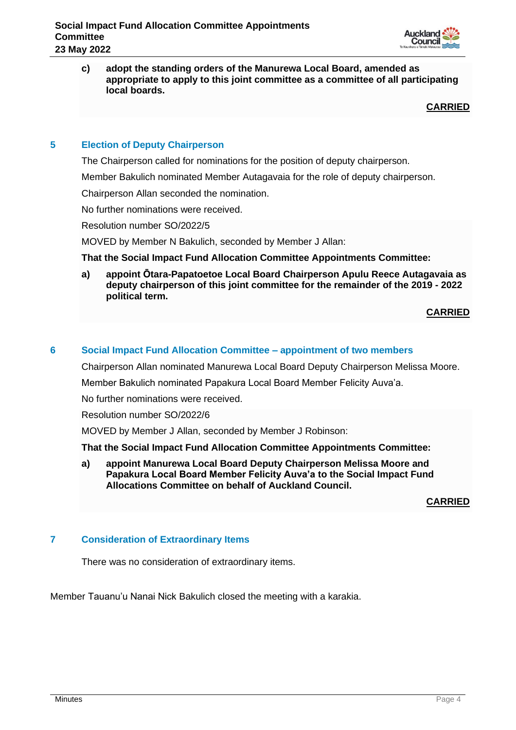

**c) adopt the standing orders of the Manurewa Local Board, amended as appropriate to apply to this joint committee as a committee of all participating local boards.**

**CARRIED**

## **5 Election of Deputy Chairperson**

The Chairperson called for nominations for the position of deputy chairperson.

Member Bakulich nominated Member Autagavaia for the role of deputy chairperson.

Chairperson Allan seconded the nomination.

No further nominations were received.

Resolution number SO/2022/5

MOVED by Member N Bakulich, seconded by Member J Allan:

**That the Social Impact Fund Allocation Committee Appointments Committee:**

**a) appoint Ōtara-Papatoetoe Local Board Chairperson Apulu Reece Autagavaia as deputy chairperson of this joint committee for the remainder of the 2019 - 2022 political term.**

**CARRIED**

#### **6 Social Impact Fund Allocation Committee – appointment of two members**

Chairperson Allan nominated Manurewa Local Board Deputy Chairperson Melissa Moore.

Member Bakulich nominated Papakura Local Board Member Felicity Auva'a.

No further nominations were received.

Resolution number SO/2022/6

MOVED by Member J Allan, seconded by Member J Robinson:

**That the Social Impact Fund Allocation Committee Appointments Committee:**

**a) appoint Manurewa Local Board Deputy Chairperson Melissa Moore and Papakura Local Board Member Felicity Auva'a to the Social Impact Fund Allocations Committee on behalf of Auckland Council.**

**CARRIED**

### **7 Consideration of Extraordinary Items**

There was no consideration of extraordinary items.

Member Tauanu'u Nanai Nick Bakulich closed the meeting with a karakia.